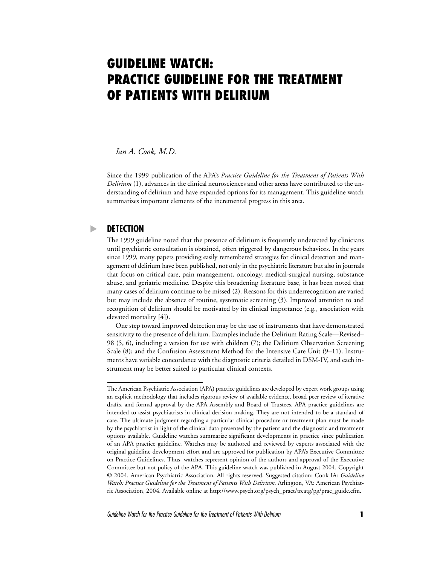# **GUIDELINE WATCH: PRACTICE GUIDELINE FOR THE TREATMENT OF PATIENTS WITH DELIRIUM**

*Ian A. Cook, M.D.*

Since the 1999 publication of the APA's *Practice Guideline for the Treatment of Patients With Delirium* (1), advances in the clinical neurosciences and other areas have contributed to the understanding of delirium and have expanded options for its management. This guideline watch summarizes important elements of the incremental progress in this area.

## **DETECTION**

The 1999 guideline noted that the presence of delirium is frequently undetected by clinicians until psychiatric consultation is obtained, often triggered by dangerous behaviors. In the years since 1999, many papers providing easily remembered strategies for clinical detection and management of delirium have been published, not only in the psychiatric literature but also in journals that focus on critical care, pain management, oncology, medical-surgical nursing, substance abuse, and geriatric medicine. Despite this broadening literature base, it has been noted that many cases of delirium continue to be missed (2). Reasons for this underrecognition are varied but may include the absence of routine, systematic screening (3). Improved attention to and recognition of delirium should be motivated by its clinical importance (e.g., association with elevated mortality [4]).

One step toward improved detection may be the use of instruments that have demonstrated sensitivity to the presence of delirium. Examples include the Delirium Rating Scale—Revised– 98 (5, 6), including a version for use with children (7); the Delirium Observation Screening Scale (8); and the Confusion Assessment Method for the Intensive Care Unit (9–11). Instruments have variable concordance with the diagnostic criteria detailed in DSM-IV, and each instrument may be better suited to particular clinical contexts.

The American Psychiatric Association (APA) practice guidelines are developed by expert work groups using an explicit methodology that includes rigorous review of available evidence, broad peer review of iterative drafts, and formal approval by the APA Assembly and Board of Trustees. APA practice guidelines are intended to assist psychiatrists in clinical decision making. They are not intended to be a standard of care. The ultimate judgment regarding a particular clinical procedure or treatment plan must be made by the psychiatrist in light of the clinical data presented by the patient and the diagnostic and treatment options available. Guideline watches summarize significant developments in practice since publication of an APA practice guideline. Watches may be authored and reviewed by experts associated with the original guideline development effort and are approved for publication by APA's Executive Committee on Practice Guidelines. Thus, watches represent opinion of the authors and approval of the Executive Committee but not policy of the APA. This guideline watch was published in August 2004. Copyright © 2004. American Psychiatric Association. All rights reserved. Suggested citation: Cook IA: *Guideline Watch: Practice Guideline for the Treatment of Patients With Delirium.* Arlington, VA: American Psychiatric Association, 2004. Available online at http://www.psych.org/psych\_pract/treatg/pg/prac\_guide.cfm.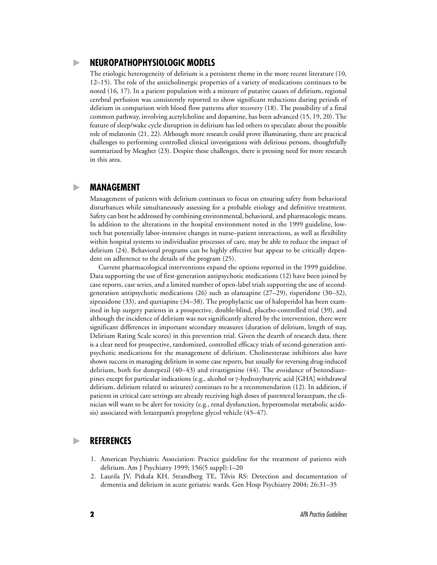## **NEUROPATHOPHYSIOLOGIC MODELS**

The etiologic heterogeneity of delirium is a persistent theme in the more recent literature (10, 12–15). The role of the anticholinergic properties of a variety of medications continues to be noted (16, 17). In a patient population with a mixture of putative causes of delirium, regional cerebral perfusion was consistently reported to show significant reductions during periods of delirium in comparison with blood flow patterns after recovery (18). The possibility of a final common pathway, involving acetylcholine and dopamine, has been advanced (15, 19, 20). The feature of sleep/wake cycle disruption in delirium has led others to speculate about the possible role of melatonin (21, 22). Although more research could prove illuminating, there are practical challenges to performing controlled clinical investigations with delirious persons, thoughtfully summarized by Meagher (23). Despite these challenges, there is pressing need for more research in this area.

#### **MANAGEMENT**

Management of patients with delirium continues to focus on ensuring safety from behavioral disturbances while simultaneously assessing for a probable etiology and definitive treatment. Safety can best be addressed by combining environmental, behavioral, and pharmacologic means. In addition to the alterations in the hospital environment noted in the 1999 guideline, lowtech but potentially labor-intensive changes in nurse–patient interactions, as well as flexibility within hospital systems to individualize processes of care, may be able to reduce the impact of delirium (24). Behavioral programs can be highly effective but appear to be critically dependent on adherence to the details of the program (25).

Current pharmacological interventions expand the options reported in the 1999 guideline. Data supporting the use of first-generation antipsychotic medications (12) have been joined by case reports, case series, and a limited number of open-label trials supporting the use of secondgeneration antipsychotic medications (26) such as olanzapine (27–29), risperidone (30–32), ziprasidone (33), and quetiapine (34–38). The prophylactic use of haloperidol has been examined in hip surgery patients in a prospective, double-blind, placebo-controlled trial (39), and although the incidence of delirium was not significantly altered by the intervention, there were significant differences in important secondary measures (duration of delirium, length of stay, Delirium Rating Scale scores) in this prevention trial. Given the dearth of research data, there is a clear need for prospective, randomized, controlled efficacy trials of second-generation antipsychotic medications for the management of delirium. Cholinesterase inhibitors also have shown success in managing delirium in some case reports, but usually for reversing drug-induced delirium, both for donepezil (40–43) and rivastigmine (44). The avoidance of benzodiazepines except for particular indications (e.g., alcohol or γ-hydroxybutyric acid [GHA] withdrawal delirium, delirium related to seizures) continues to be a recommendation (12). In addition, if patients in critical care settings are already receiving high doses of parenteral lorazepam, the clinician will want to be alert for toxicity (e.g., renal dysfunction, hyperosmolar metabolic acidosis) associated with lorazepam's propylene glycol vehicle (45–47).

#### **REFERENCES**

- 1. American Psychiatric Association: Practice guideline for the treatment of patients with delirium. Am J Psychiatry 1999; 156(5 suppl):1–20
- 2. Laurila JV, Pitkala KH, Strandberg TE, Tilvis RS: Detection and documentation of dementia and delirium in acute geriatric wards. Gen Hosp Psychiatry 2004; 26:31–35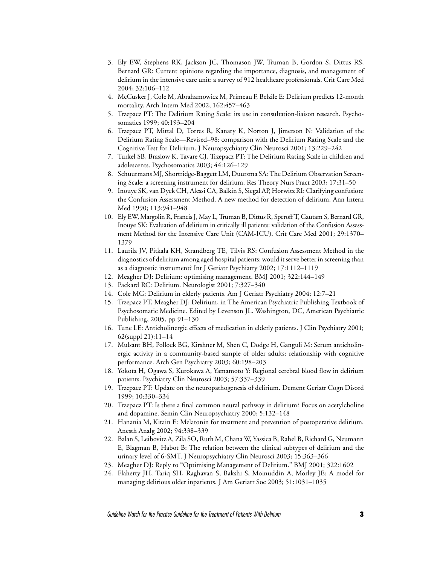- 3. Ely EW, Stephens RK, Jackson JC, Thomason JW, Truman B, Gordon S, Dittus RS, Bernard GR: Current opinions regarding the importance, diagnosis, and management of delirium in the intensive care unit: a survey of 912 healthcare professionals. Crit Care Med 2004; 32:106–112
- 4. McCusker J, Cole M, Abrahamowicz M, Primeau F, Belzile E: Delirium predicts 12-month mortality. Arch Intern Med 2002; 162:457–463
- 5. Trzepacz PT: The Delirium Rating Scale: its use in consultation-liaison research. Psychosomatics 1999; 40:193–204
- 6. Trzepacz PT, Mittal D, Torres R, Kanary K, Norton J, Jimerson N: Validation of the Delirium Rating Scale—Revised–98: comparison with the Delirium Rating Scale and the Cognitive Test for Delirium. J Neuropsychiatry Clin Neurosci 2001; 13:229–242
- 7. Turkel SB, Braslow K, Tavare CJ, Trzepacz PT: The Delirium Rating Scale in children and adolescents. Psychosomatics 2003; 44:126–129
- 8. Schuurmans MJ, Shortridge-Baggett LM, Duursma SA: The Delirium Observation Screening Scale: a screening instrument for delirium. Res Theory Nurs Pract 2003; 17:31–50
- 9. Inouye SK, van Dyck CH, Alessi CA, Balkin S, Siegal AP, Horwitz RI: Clarifying confusion: the Confusion Assessment Method. A new method for detection of delirium. Ann Intern Med 1990; 113:941–948
- 10. Ely EW, Margolin R, Francis J, May L, Truman B, Dittus R, Speroff T, Gautam S, Bernard GR, Inouye SK: Evaluation of delirium in critically ill patients: validation of the Confusion Assessment Method for the Intensive Care Unit (CAM-ICU). Crit Care Med 2001; 29:1370– 1379
- 11. Laurila JV, Pitkala KH, Strandberg TE, Tilvis RS: Confusion Assessment Method in the diagnostics of delirium among aged hospital patients: would it serve better in screening than as a diagnostic instrument? Int J Geriatr Psychiatry 2002; 17:1112–1119
- 12. Meagher DJ: Delirium: optimising management. BMJ 2001; 322:144–149
- 13. Packard RC: Delirium. Neurologist 2001; 7:327–340
- 14. Cole MG: Delirium in elderly patients. Am J Geriatr Psychiatry 2004; 12:7–21
- 15. Trzepacz PT, Meagher DJ: Delirium, in The American Psychiatric Publishing Textbook of Psychosomatic Medicine. Edited by Levenson JL. Washington, DC, American Psychiatric Publishing, 2005, pp 91–130
- 16. Tune LE: Anticholinergic effects of medication in elderly patients. J Clin Psychiatry 2001; 62(suppl 21):11–14
- 17. Mulsant BH, Pollock BG, Kirshner M, Shen C, Dodge H, Ganguli M: Serum anticholinergic activity in a community-based sample of older adults: relationship with cognitive performance. Arch Gen Psychiatry 2003; 60:198–203
- 18. Yokota H, Ogawa S, Kurokawa A, Yamamoto Y: Regional cerebral blood flow in delirium patients. Psychiatry Clin Neurosci 2003; 57:337–339
- 19. Trzepacz PT: Update on the neuropathogenesis of delirium. Dement Geriatr Cogn Disord 1999; 10:330–334
- 20. Trzepacz PT: Is there a final common neural pathway in delirium? Focus on acetylcholine and dopamine. Semin Clin Neuropsychiatry 2000; 5:132–148
- 21. Hanania M, Kitain E: Melatonin for treatment and prevention of postoperative delirium. Anesth Analg 2002; 94:338–339
- 22. Balan S, Leibovitz A, Zila SO, Ruth M, Chana W, Yassica B, Rahel B, Richard G, Neumann E, Blagman B, Habot B: The relation between the clinical subtypes of delirium and the urinary level of 6-SMT. J Neuropsychiatry Clin Neurosci 2003; 15:363–366
- 23. Meagher DJ: Reply to "Optimising Management of Delirium." BMJ 2001; 322:1602
- 24. Flaherty JH, Tariq SH, Raghavan S, Bakshi S, Moinuddin A, Morley JE: A model for managing delirious older inpatients. J Am Geriatr Soc 2003; 51:1031–1035